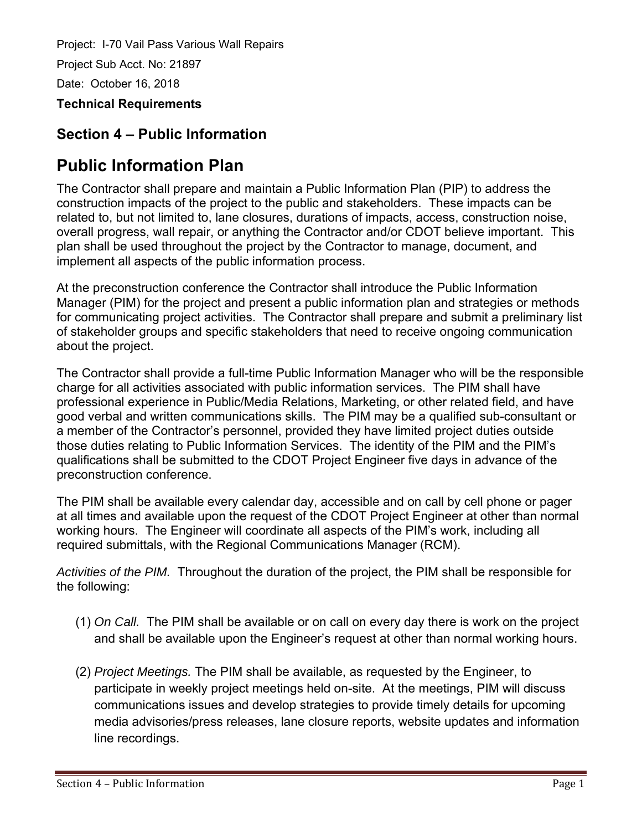## **Section 4 – Public Information**

# **Public Information Plan**

The Contractor shall prepare and maintain a Public Information Plan (PIP) to address the construction impacts of the project to the public and stakeholders. These impacts can be related to, but not limited to, lane closures, durations of impacts, access, construction noise, overall progress, wall repair, or anything the Contractor and/or CDOT believe important. This plan shall be used throughout the project by the Contractor to manage, document, and implement all aspects of the public information process.

At the preconstruction conference the Contractor shall introduce the Public Information Manager (PIM) for the project and present a public information plan and strategies or methods for communicating project activities. The Contractor shall prepare and submit a preliminary list of stakeholder groups and specific stakeholders that need to receive ongoing communication about the project.

The Contractor shall provide a full-time Public Information Manager who will be the responsible charge for all activities associated with public information services. The PIM shall have professional experience in Public/Media Relations, Marketing, or other related field, and have good verbal and written communications skills. The PIM may be a qualified sub-consultant or a member of the Contractor's personnel, provided they have limited project duties outside those duties relating to Public Information Services. The identity of the PIM and the PIM's qualifications shall be submitted to the CDOT Project Engineer five days in advance of the preconstruction conference.

The PIM shall be available every calendar day, accessible and on call by cell phone or pager at all times and available upon the request of the CDOT Project Engineer at other than normal working hours. The Engineer will coordinate all aspects of the PIM's work, including all required submittals, with the Regional Communications Manager (RCM).

*Activities of the PIM.* Throughout the duration of the project, the PIM shall be responsible for the following:

- (1) *On Call.* The PIM shall be available or on call on every day there is work on the project and shall be available upon the Engineer's request at other than normal working hours.
- (2) *Project Meetings.* The PIM shall be available, as requested by the Engineer, to participate in weekly project meetings held on-site. At the meetings, PIM will discuss communications issues and develop strategies to provide timely details for upcoming media advisories/press releases, lane closure reports, website updates and information line recordings.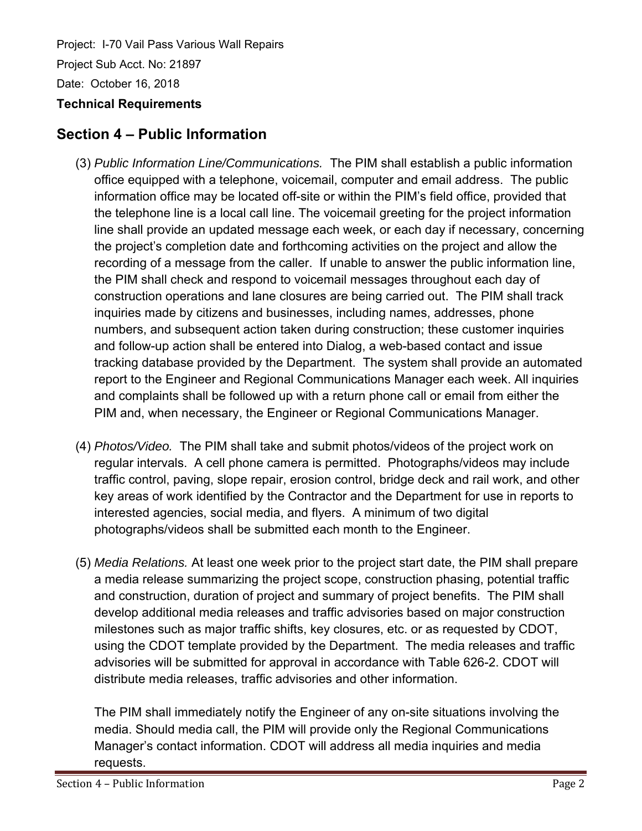### **Section 4 – Public Information**

- (3) *Public Information Line/Communications.* The PIM shall establish a public information office equipped with a telephone, voicemail, computer and email address. The public information office may be located off-site or within the PIM's field office, provided that the telephone line is a local call line. The voicemail greeting for the project information line shall provide an updated message each week, or each day if necessary, concerning the project's completion date and forthcoming activities on the project and allow the recording of a message from the caller. If unable to answer the public information line, the PIM shall check and respond to voicemail messages throughout each day of construction operations and lane closures are being carried out. The PIM shall track inquiries made by citizens and businesses, including names, addresses, phone numbers, and subsequent action taken during construction; these customer inquiries and follow-up action shall be entered into Dialog, a web-based contact and issue tracking database provided by the Department. The system shall provide an automated report to the Engineer and Regional Communications Manager each week. All inquiries and complaints shall be followed up with a return phone call or email from either the PIM and, when necessary, the Engineer or Regional Communications Manager.
- (4) *Photos/Video.* The PIM shall take and submit photos/videos of the project work on regular intervals. A cell phone camera is permitted. Photographs/videos may include traffic control, paving, slope repair, erosion control, bridge deck and rail work, and other key areas of work identified by the Contractor and the Department for use in reports to interested agencies, social media, and flyers. A minimum of two digital photographs/videos shall be submitted each month to the Engineer.
- (5) *Media Relations.* At least one week prior to the project start date, the PIM shall prepare a media release summarizing the project scope, construction phasing, potential traffic and construction, duration of project and summary of project benefits. The PIM shall develop additional media releases and traffic advisories based on major construction milestones such as major traffic shifts, key closures, etc. or as requested by CDOT, using the CDOT template provided by the Department. The media releases and traffic advisories will be submitted for approval in accordance with Table 626-2. CDOT will distribute media releases, traffic advisories and other information.

The PIM shall immediately notify the Engineer of any on-site situations involving the media. Should media call, the PIM will provide only the Regional Communications Manager's contact information. CDOT will address all media inquiries and media requests.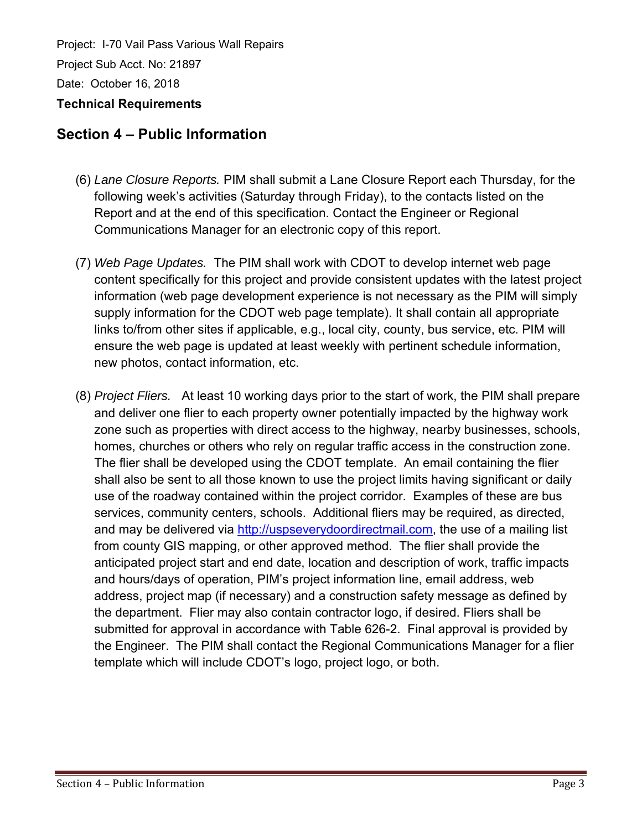### **Section 4 – Public Information**

- (6) *Lane Closure Reports.* PIM shall submit a Lane Closure Report each Thursday, for the following week's activities (Saturday through Friday), to the contacts listed on the Report and at the end of this specification. Contact the Engineer or Regional Communications Manager for an electronic copy of this report.
- (7) *Web Page Updates.* The PIM shall work with CDOT to develop internet web page content specifically for this project and provide consistent updates with the latest project information (web page development experience is not necessary as the PIM will simply supply information for the CDOT web page template). It shall contain all appropriate links to/from other sites if applicable, e.g., local city, county, bus service, etc. PIM will ensure the web page is updated at least weekly with pertinent schedule information, new photos, contact information, etc.
- (8) *Project Fliers.* At least 10 working days prior to the start of work, the PIM shall prepare and deliver one flier to each property owner potentially impacted by the highway work zone such as properties with direct access to the highway, nearby businesses, schools, homes, churches or others who rely on regular traffic access in the construction zone. The flier shall be developed using the CDOT template. An email containing the flier shall also be sent to all those known to use the project limits having significant or daily use of the roadway contained within the project corridor. Examples of these are bus services, community centers, schools. Additional fliers may be required, as directed, and may be delivered via http://uspseverydoordirectmail.com, the use of a mailing list from county GIS mapping, or other approved method. The flier shall provide the anticipated project start and end date, location and description of work, traffic impacts and hours/days of operation, PIM's project information line, email address, web address, project map (if necessary) and a construction safety message as defined by the department. Flier may also contain contractor logo, if desired. Fliers shall be submitted for approval in accordance with Table 626-2. Final approval is provided by the Engineer. The PIM shall contact the Regional Communications Manager for a flier template which will include CDOT's logo, project logo, or both.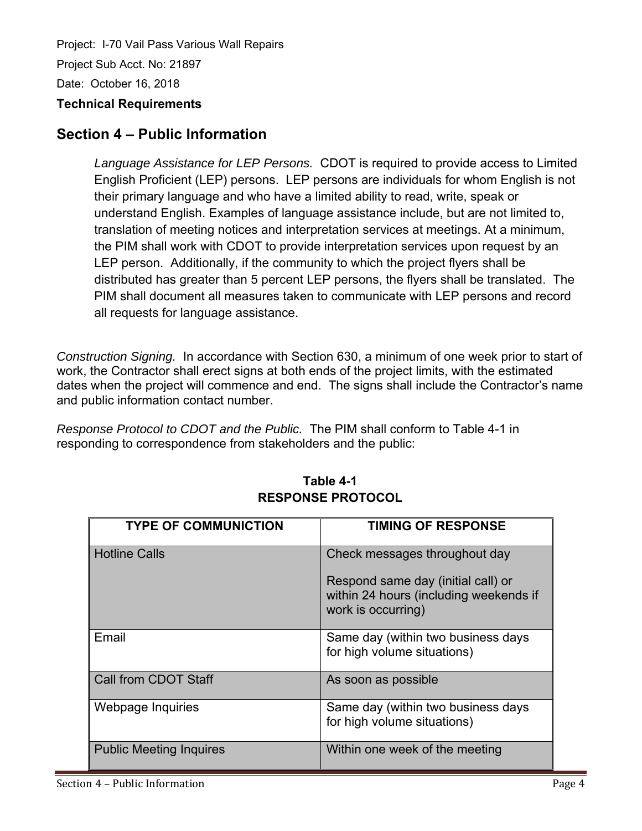### **Section 4 – Public Information**

*Language Assistance for LEP Persons.* CDOT is required to provide access to Limited English Proficient (LEP) persons. LEP persons are individuals for whom English is not their primary language and who have a limited ability to read, write, speak or understand English. Examples of language assistance include, but are not limited to, translation of meeting notices and interpretation services at meetings. At a minimum, the PIM shall work with CDOT to provide interpretation services upon request by an LEP person. Additionally, if the community to which the project flyers shall be distributed has greater than 5 percent LEP persons, the flyers shall be translated. The PIM shall document all measures taken to communicate with LEP persons and record all requests for language assistance.

*Construction Signing.* In accordance with Section 630, a minimum of one week prior to start of work, the Contractor shall erect signs at both ends of the project limits, with the estimated dates when the project will commence and end. The signs shall include the Contractor's name and public information contact number.

*Response Protocol to CDOT and the Public.* The PIM shall conform to Table 4-1 in responding to correspondence from stakeholders and the public:

| <b>TYPE OF COMMUNICTION</b>    | <b>TIMING OF RESPONSE</b>                                                                          |
|--------------------------------|----------------------------------------------------------------------------------------------------|
| <b>Hotline Calls</b>           | Check messages throughout day                                                                      |
|                                | Respond same day (initial call) or<br>within 24 hours (including weekends if<br>work is occurring) |
| Email                          | Same day (within two business days<br>for high volume situations)                                  |
| Call from CDOT Staff           | As soon as possible                                                                                |
| Webpage Inquiries              | Same day (within two business days<br>for high volume situations)                                  |
| <b>Public Meeting Inquires</b> | Within one week of the meeting                                                                     |

#### **Table 4-1 RESPONSE PROTOCOL**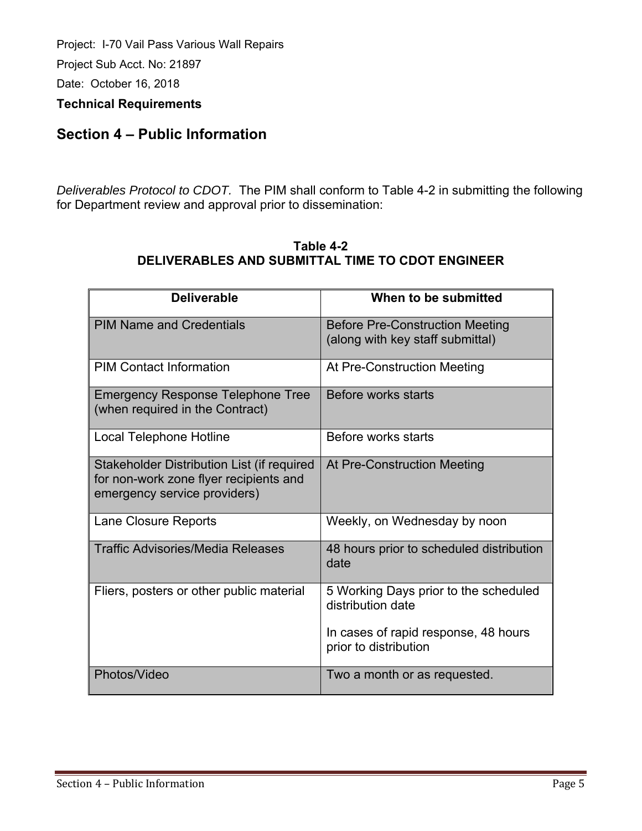Project: I-70 Vail Pass Various Wall Repairs Project Sub Acct. No: 21897

Date: October 16, 2018

**Technical Requirements** 

### **Section 4 – Public Information**

*Deliverables Protocol to CDOT.* The PIM shall conform to Table 4-2 in submitting the following for Department review and approval prior to dissemination:

| <b>Deliverable</b>                         | When to be submitted                     |
|--------------------------------------------|------------------------------------------|
|                                            |                                          |
| <b>PIM Name and Credentials</b>            | <b>Before Pre-Construction Meeting</b>   |
|                                            | (along with key staff submittal)         |
|                                            |                                          |
| <b>PIM Contact Information</b>             | At Pre-Construction Meeting              |
| <b>Emergency Response Telephone Tree</b>   | Before works starts                      |
| (when required in the Contract)            |                                          |
| Local Telephone Hotline                    | Before works starts                      |
|                                            |                                          |
| Stakeholder Distribution List (if required | At Pre-Construction Meeting              |
| for non-work zone flyer recipients and     |                                          |
| emergency service providers)               |                                          |
|                                            |                                          |
| Lane Closure Reports                       | Weekly, on Wednesday by noon             |
| <b>Traffic Advisories/Media Releases</b>   | 48 hours prior to scheduled distribution |
|                                            | date                                     |
|                                            |                                          |
| Fliers, posters or other public material   | 5 Working Days prior to the scheduled    |
|                                            | distribution date                        |
|                                            |                                          |
|                                            | In cases of rapid response, 48 hours     |
|                                            | prior to distribution                    |
| Photos/Video                               | Two a month or as requested.             |
|                                            |                                          |

#### **Table 4-2 DELIVERABLES AND SUBMITTAL TIME TO CDOT ENGINEER**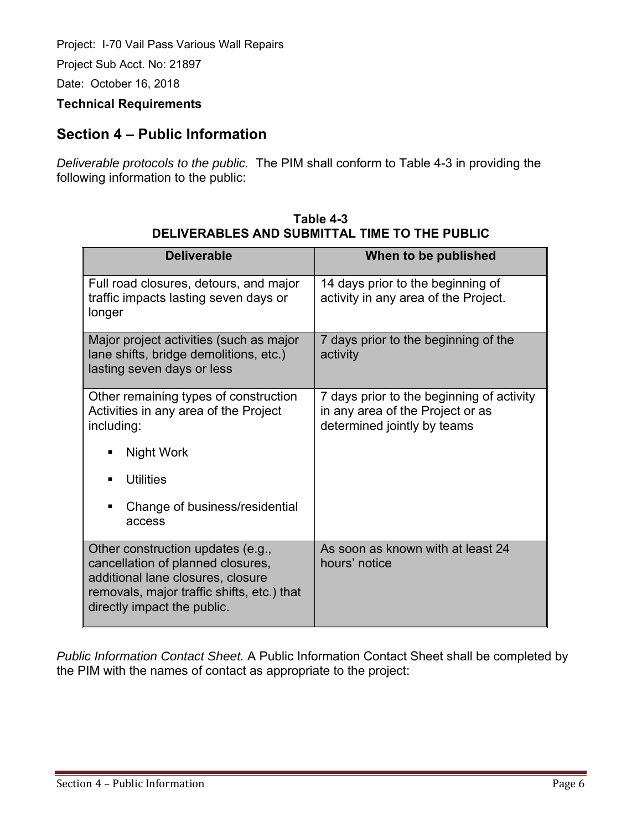Project: I-70 Vail Pass Various Wall Repairs

Project Sub Acct. No: 21897

Date: October 16, 2018

#### **Technical Requirements**

### **Section 4 – Public Information**

*Deliverable protocols to the public.* The PIM shall conform to Table 4-3 in providing the following information to the public:

| <b>Deliverable</b>                                                                                                                                                                       | When to be published                                                                                         |
|------------------------------------------------------------------------------------------------------------------------------------------------------------------------------------------|--------------------------------------------------------------------------------------------------------------|
|                                                                                                                                                                                          |                                                                                                              |
| Full road closures, detours, and major<br>traffic impacts lasting seven days or<br>longer                                                                                                | 14 days prior to the beginning of<br>activity in any area of the Project.                                    |
| Major project activities (such as major<br>lane shifts, bridge demolitions, etc.)<br>lasting seven days or less                                                                          | 7 days prior to the beginning of the<br>activity                                                             |
| Other remaining types of construction<br>Activities in any area of the Project<br>including:                                                                                             | 7 days prior to the beginning of activity<br>in any area of the Project or as<br>determined jointly by teams |
| Night Work<br>٠                                                                                                                                                                          |                                                                                                              |
| <b>Utilities</b><br>п                                                                                                                                                                    |                                                                                                              |
| Change of business/residential<br>п<br>access                                                                                                                                            |                                                                                                              |
| Other construction updates (e.g.,<br>cancellation of planned closures,<br>additional lane closures, closure<br>removals, major traffic shifts, etc.) that<br>directly impact the public. | As soon as known with at least 24<br>hours' notice                                                           |

| Table 4-3                                     |
|-----------------------------------------------|
| DELIVERABLES AND SUBMITTAL TIME TO THE PUBLIC |

*Public Information Contact Sheet.* A Public Information Contact Sheet shall be completed by the PIM with the names of contact as appropriate to the project: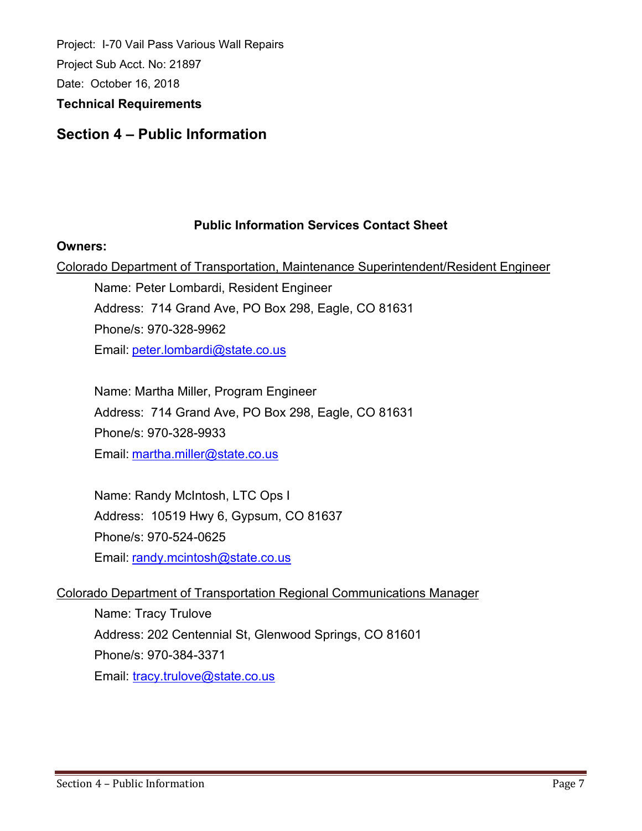### **Section 4 – Public Information**

#### **Public Information Services Contact Sheet**

#### **Owners:**

Colorado Department of Transportation, Maintenance Superintendent/Resident Engineer

Name: Peter Lombardi, Resident Engineer Address: 714 Grand Ave, PO Box 298, Eagle, CO 81631 Phone/s: 970-328-9962 Email: peter.lombardi@state.co.us

Name: Martha Miller, Program Engineer Address: 714 Grand Ave, PO Box 298, Eagle, CO 81631 Phone/s: 970-328-9933 Email: martha.miller@state.co.us

Name: Randy McIntosh, LTC Ops I Address: 10519 Hwy 6, Gypsum, CO 81637 Phone/s: 970-524-0625 Email: randy.mcintosh@state.co.us

#### Colorado Department of Transportation Regional Communications Manager

Name: Tracy Trulove Address: 202 Centennial St, Glenwood Springs, CO 81601 Phone/s: 970-384-3371 Email: tracy.trulove@state.co.us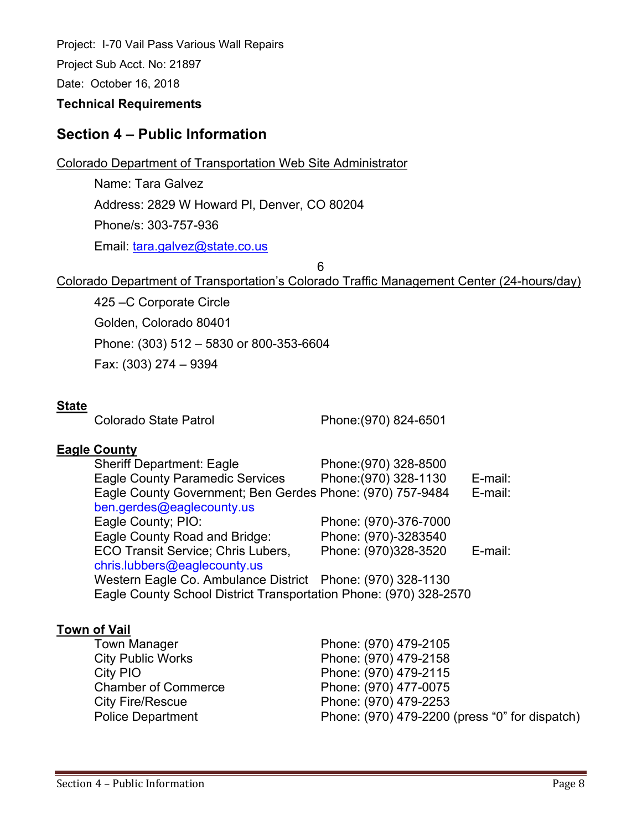Project: I-70 Vail Pass Various Wall Repairs Project Sub Acct. No: 21897

Date: October 16, 2018

#### **Technical Requirements**

### **Section 4 – Public Information**

Colorado Department of Transportation Web Site Administrator

Name: Tara Galvez Address: 2829 W Howard Pl, Denver, CO 80204 Phone/s: 303-757-936 Email: tara.galvez@state.co.us

6

### Colorado Department of Transportation's Colorado Traffic Management Center (24-hours/day)

425 –C Corporate Circle Golden, Colorado 80401 Phone: (303) 512 – 5830 or 800-353-6604 Fax: (303) 274 – 9394

#### **State**

Colorado State Patrol Phone:(970) 824-6501

#### **Eagle County**

| <b>Sheriff Department: Eagle</b>                                  | Phone: (970) 328-8500 |         |
|-------------------------------------------------------------------|-----------------------|---------|
| <b>Eagle County Paramedic Services</b>                            | Phone: (970) 328-1130 | E-mail: |
| Eagle County Government; Ben Gerdes Phone: (970) 757-9484         |                       | E-mail: |
| ben.gerdes@eaglecounty.us                                         |                       |         |
| Eagle County; PIO:                                                | Phone: (970)-376-7000 |         |
| Eagle County Road and Bridge:                                     | Phone: (970)-3283540  |         |
| <b>ECO Transit Service; Chris Lubers,</b>                         | Phone: (970)328-3520  | E-mail: |
| chris.lubbers@eaglecounty.us                                      |                       |         |
| Western Eagle Co. Ambulance District Phone: (970) 328-1130        |                       |         |
| Eagle County School District Transportation Phone: (970) 328-2570 |                       |         |

#### **Town of Vail**

| <b>Town Manager</b>        | Phone: (970) 479-2105                          |
|----------------------------|------------------------------------------------|
| <b>City Public Works</b>   | Phone: (970) 479-2158                          |
| City PIO                   | Phone: (970) 479-2115                          |
| <b>Chamber of Commerce</b> | Phone: (970) 477-0075                          |
| <b>City Fire/Rescue</b>    | Phone: (970) 479-2253                          |
| <b>Police Department</b>   | Phone: (970) 479-2200 (press "0" for dispatch) |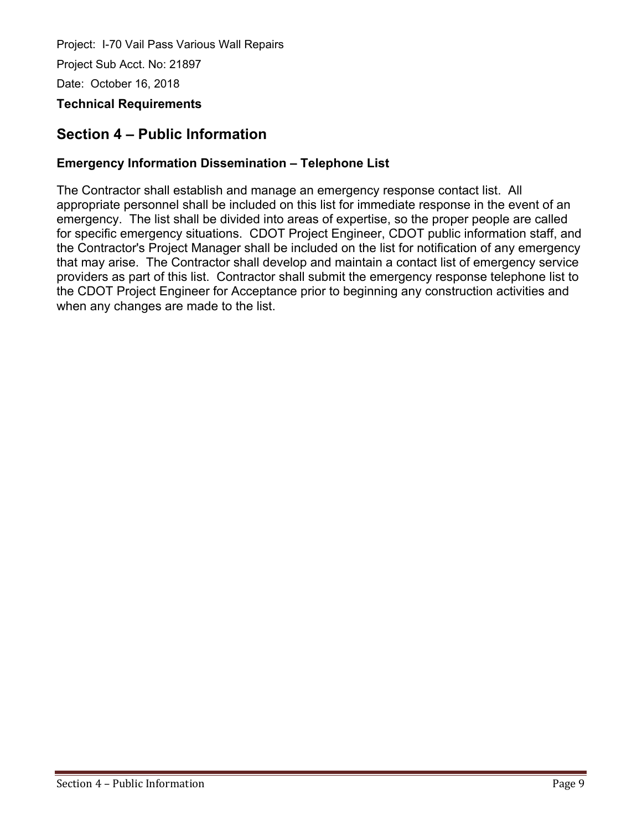### **Section 4 – Public Information**

### **Emergency Information Dissemination – Telephone List**

The Contractor shall establish and manage an emergency response contact list. All appropriate personnel shall be included on this list for immediate response in the event of an emergency. The list shall be divided into areas of expertise, so the proper people are called for specific emergency situations. CDOT Project Engineer, CDOT public information staff, and the Contractor's Project Manager shall be included on the list for notification of any emergency that may arise. The Contractor shall develop and maintain a contact list of emergency service providers as part of this list. Contractor shall submit the emergency response telephone list to the CDOT Project Engineer for Acceptance prior to beginning any construction activities and when any changes are made to the list.